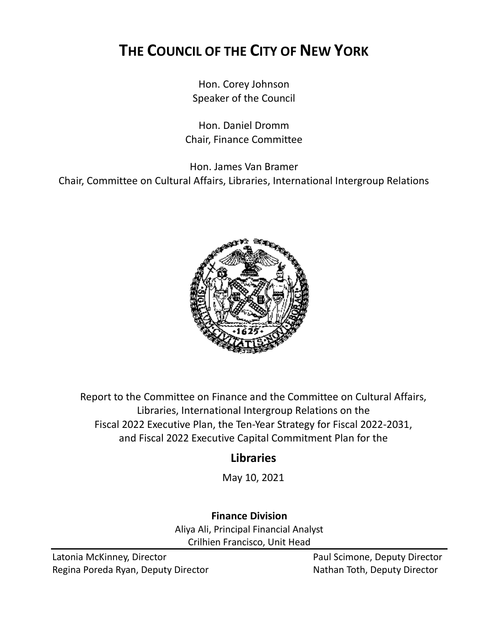# **THE COUNCIL OF THE CITY OF NEW YORK**

Hon. Corey Johnson Speaker of the Council

Hon. Daniel Dromm Chair, Finance Committee

Hon. James Van Bramer

Chair, Committee on Cultural Affairs, Libraries, International Intergroup Relations



Report to the Committee on Finance and the Committee on Cultural Affairs, Libraries, International Intergroup Relations on the Fiscal 2022 Executive Plan, the Ten-Year Strategy for Fiscal 2022-2031, and Fiscal 2022 Executive Capital Commitment Plan for the

## **Libraries**

May 10, 2021

**Finance Division** Aliya Ali, Principal Financial Analyst Crilhien Francisco, Unit Head

Latonia McKinney, Director **Paul Scimone, Deputy Director** Paul Scimone, Deputy Director Regina Poreda Ryan, Deputy Director Nathan Toth, Deputy Director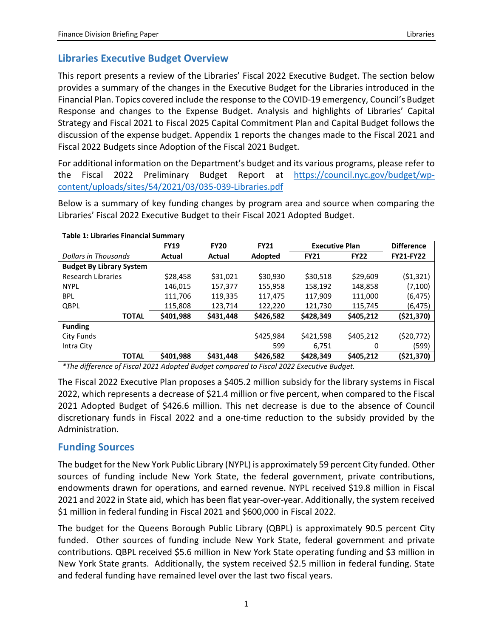## **Libraries Executive Budget Overview**

This report presents a review of the Libraries' Fiscal 2022 Executive Budget. The section below provides a summary of the changes in the Executive Budget for the Libraries introduced in the Financial Plan. Topics covered include the response to the COVID-19 emergency, Council's Budget Response and changes to the Expense Budget. Analysis and highlights of Libraries' Capital Strategy and Fiscal 2021 to Fiscal 2025 Capital Commitment Plan and Capital Budget follows the discussion of the expense budget. Appendix 1 reports the changes made to the Fiscal 2021 and Fiscal 2022 Budgets since Adoption of the Fiscal 2021 Budget.

For additional information on the Department's budget and its various programs, please refer to the Fiscal 2022 Preliminary Budget Report at [https://council.nyc.gov/budget/wp](https://council.nyc.gov/budget/wp-content/uploads/sites/54/2021/03/035-039-Libraries.pdf)[content/uploads/sites/54/2021/03/035-039-Libraries.pdf](https://council.nyc.gov/budget/wp-content/uploads/sites/54/2021/03/035-039-Libraries.pdf)

Below is a summary of key funding changes by program area and source when comparing the Libraries' Fiscal 2022 Executive Budget to their Fiscal 2021 Adopted Budget.

| Table 1. Libraries Financial Summary |             |               |             |                       |             |                   |
|--------------------------------------|-------------|---------------|-------------|-----------------------|-------------|-------------------|
|                                      | <b>FY19</b> | <b>FY20</b>   | <b>FY21</b> | <b>Executive Plan</b> |             | <b>Difference</b> |
| Dollars in Thousands                 | Actual      | <b>Actual</b> | Adopted     | <b>FY21</b>           | <b>FY22</b> | <b>FY21-FY22</b>  |
| <b>Budget By Library System</b>      |             |               |             |                       |             |                   |
| <b>Research Libraries</b>            | \$28,458    | \$31,021      | \$30,930    | \$30,518              | \$29,609    | (51, 321)         |
| <b>NYPL</b>                          | 146,015     | 157,377       | 155,958     | 158,192               | 148,858     | (7,100)           |
| <b>BPL</b>                           | 111.706     | 119,335       | 117,475     | 117,909               | 111,000     | (6, 475)          |
| QBPL                                 | 115,808     | 123,714       | 122,220     | 121,730               | 115,745     | (6, 475)          |
| <b>TOTAL</b>                         | \$401,988   | \$431,448     | \$426,582   | \$428,349             | \$405,212   | (\$21,370)        |
| <b>Funding</b>                       |             |               |             |                       |             |                   |
| City Funds                           |             |               | \$425,984   | \$421,598             | \$405,212   | (\$20,772)        |
| Intra City                           |             |               | 599         | 6,751                 | 0           | (599)             |
| <b>TOTAL</b>                         | \$401,988   | \$431,448     | \$426,582   | \$428,349             | \$405,212   | (\$21,370)        |

#### **Table 1: Libraries Financial Summary**

*\*The difference of Fiscal 2021 Adopted Budget compared to Fiscal 2022 Executive Budget.*

The Fiscal 2022 Executive Plan proposes a \$405.2 million subsidy for the library systems in Fiscal 2022, which represents a decrease of \$21.4 million or five percent, when compared to the Fiscal 2021 Adopted Budget of \$426.6 million. This net decrease is due to the absence of Council discretionary funds in Fiscal 2022 and a one-time reduction to the subsidy provided by the Administration.

#### **Funding Sources**

The budget for the New York Public Library (NYPL) is approximately 59 percent City funded. Other sources of funding include New York State, the federal government, private contributions, endowments drawn for operations, and earned revenue. NYPL received \$19.8 million in Fiscal 2021 and 2022 in State aid, which has been flat year-over-year. Additionally, the system received \$1 million in federal funding in Fiscal 2021 and \$600,000 in Fiscal 2022.

The budget for the Queens Borough Public Library (QBPL) is approximately 90.5 percent City funded. Other sources of funding include New York State, federal government and private contributions. QBPL received \$5.6 million in New York State operating funding and \$3 million in New York State grants. Additionally, the system received \$2.5 million in federal funding. State and federal funding have remained level over the last two fiscal years.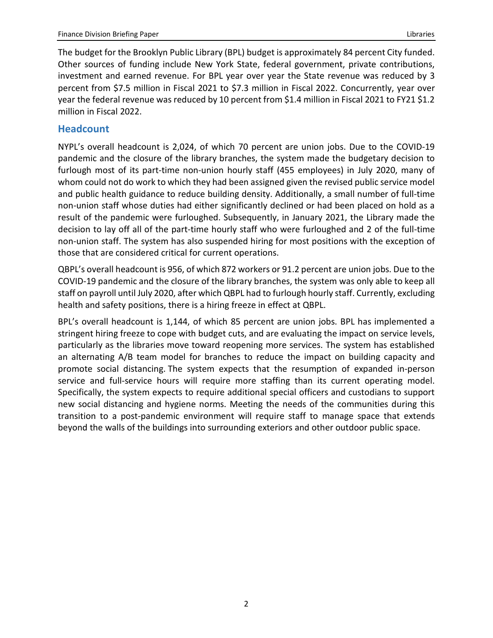The budget for the Brooklyn Public Library (BPL) budget is approximately 84 percent City funded. Other sources of funding include New York State, federal government, private contributions, investment and earned revenue. For BPL year over year the State revenue was reduced by 3 percent from \$7.5 million in Fiscal 2021 to \$7.3 million in Fiscal 2022. Concurrently, year over year the federal revenue was reduced by 10 percent from \$1.4 million in Fiscal 2021 to FY21 \$1.2 million in Fiscal 2022.

## **Headcount**

NYPL's overall headcount is 2,024, of which 70 percent are union jobs. Due to the COVID-19 pandemic and the closure of the library branches, the system made the budgetary decision to furlough most of its part-time non-union hourly staff (455 employees) in July 2020, many of whom could not do work to which they had been assigned given the revised public service model and public health guidance to reduce building density. Additionally, a small number of full-time non-union staff whose duties had either significantly declined or had been placed on hold as a result of the pandemic were furloughed. Subsequently, in January 2021, the Library made the decision to lay off all of the part-time hourly staff who were furloughed and 2 of the full-time non-union staff. The system has also suspended hiring for most positions with the exception of those that are considered critical for current operations.

QBPL's overall headcount is 956, of which 872 workers or 91.2 percent are union jobs. Due to the COVID-19 pandemic and the closure of the library branches, the system was only able to keep all staff on payroll until July 2020, after which QBPL had to furlough hourly staff. Currently, excluding health and safety positions, there is a hiring freeze in effect at QBPL.

BPL's overall headcount is 1,144, of which 85 percent are union jobs. BPL has implemented a stringent hiring freeze to cope with budget cuts, and are evaluating the impact on service levels, particularly as the libraries move toward reopening more services. The system has established an alternating A/B team model for branches to reduce the impact on building capacity and promote social distancing. The system expects that the resumption of expanded in-person service and full-service hours will require more staffing than its current operating model. Specifically, the system expects to require additional special officers and custodians to support new social distancing and hygiene norms. Meeting the needs of the communities during this transition to a post-pandemic environment will require staff to manage space that extends beyond the walls of the buildings into surrounding exteriors and other outdoor public space.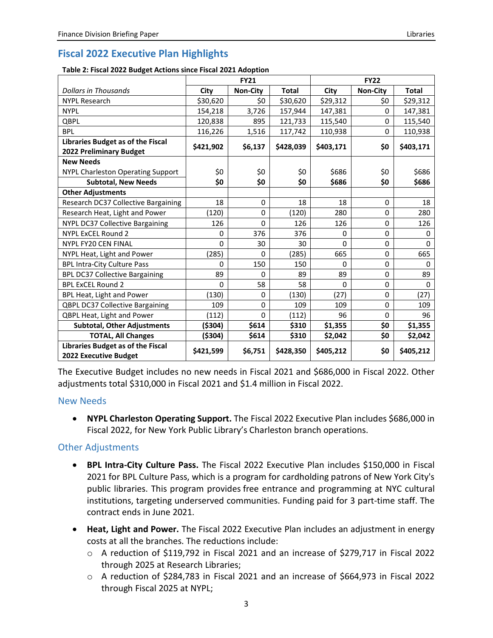## **Fiscal 2022 Executive Plan Highlights**

| Table 2: Fiscal 2022 Budget Actions since Fiscal 2021 Adoption |  |
|----------------------------------------------------------------|--|
|----------------------------------------------------------------|--|

|                                                            | <b>FY21</b>  |                 |              | <b>FY22</b> |                 |           |
|------------------------------------------------------------|--------------|-----------------|--------------|-------------|-----------------|-----------|
| <b>Dollars in Thousands</b>                                | City         | <b>Non-City</b> | <b>Total</b> | City        | <b>Non-City</b> | Total     |
| <b>NYPL Research</b>                                       | \$30,620     | \$0             | \$30,620     | \$29,312    | \$0             | \$29,312  |
| <b>NYPL</b>                                                | 154,218      | 3,726           | 157,944      | 147,381     | $\Omega$        | 147,381   |
| <b>QBPL</b>                                                | 120,838      | 895             | 121,733      | 115,540     | 0               | 115,540   |
| <b>BPL</b>                                                 | 116,226      | 1,516           | 117,742      | 110,938     | $\Omega$        | 110,938   |
| Libraries Budget as of the Fiscal                          | \$421,902    | \$6,137         | \$428,039    | \$403,171   | \$0             | \$403,171 |
| <b>2022 Preliminary Budget</b>                             |              |                 |              |             |                 |           |
| <b>New Needs</b>                                           |              |                 |              |             |                 |           |
| NYPL Charleston Operating Support                          | \$0          | \$0             | \$0          | \$686       | \$0             | \$686     |
| <b>Subtotal, New Needs</b>                                 | \$0          | \$0             | \$0          | \$686       | \$0             | \$686     |
| <b>Other Adjustments</b>                                   |              |                 |              |             |                 |           |
| Research DC37 Collective Bargaining                        | 18           | $\mathbf 0$     | 18           | 18          | 0               | 18        |
| Research Heat, Light and Power                             | (120)        | $\mathbf 0$     | (120)        | 280         | 0               | 280       |
| <b>NYPL DC37 Collective Bargaining</b>                     | 126          | $\Omega$        | 126          | 126         | $\Omega$        | 126       |
| NYPL ExCEL Round 2                                         | 0            | 376             | 376          | 0           | 0               | 0         |
| <b>NYPL FY20 CEN FINAL</b>                                 | $\mathbf{0}$ | 30              | 30           | 0           | 0               | 0         |
| NYPL Heat, Light and Power                                 | (285)        | $\Omega$        | (285)        | 665         | $\Omega$        | 665       |
| <b>BPL Intra-City Culture Pass</b>                         | 0            | 150             | 150          | 0           | 0               | $\Omega$  |
| <b>BPL DC37 Collective Bargaining</b>                      | 89           | 0               | 89           | 89          | 0               | 89        |
| <b>BPL ExCEL Round 2</b>                                   | $\Omega$     | 58              | 58           | 0           | 0               | 0         |
| BPL Heat, Light and Power                                  | (130)        | 0               | (130)        | (27)        | 0               | (27)      |
| <b>QBPL DC37 Collective Bargaining</b>                     | 109          | $\mathbf 0$     | 109          | 109         | 0               | 109       |
| QBPL Heat, Light and Power                                 | (112)        | $\Omega$        | (112)        | 96          | $\Omega$        | 96        |
| <b>Subtotal, Other Adjustments</b>                         | (\$304)      | \$614           | \$310        | \$1,355     | \$0             | \$1,355   |
| <b>TOTAL, All Changes</b>                                  | (\$304)      | \$614           | \$310        | \$2,042     | \$0             | \$2,042   |
| Libraries Budget as of the Fiscal<br>2022 Executive Budget | \$421,599    | \$6,751         | \$428,350    | \$405,212   | \$0             | \$405,212 |

The Executive Budget includes no new needs in Fiscal 2021 and \$686,000 in Fiscal 2022. Other adjustments total \$310,000 in Fiscal 2021 and \$1.4 million in Fiscal 2022.

#### New Needs

• **NYPL Charleston Operating Support.** The Fiscal 2022 Executive Plan includes \$686,000 in Fiscal 2022, for New York Public Library's Charleston branch operations.

#### Other Adjustments

- **BPL Intra-City Culture Pass.** The Fiscal 2022 Executive Plan includes \$150,000 in Fiscal 2021 for BPL Culture Pass, which is a program for cardholding patrons of New York City's public libraries. This program provides free entrance and programming at NYC cultural institutions, targeting underserved communities. Funding paid for 3 part-time staff. The contract ends in June 2021.
- **Heat, Light and Power.** The Fiscal 2022 Executive Plan includes an adjustment in energy costs at all the branches. The reductions include:
	- o A reduction of \$119,792 in Fiscal 2021 and an increase of \$279,717 in Fiscal 2022 through 2025 at Research Libraries;
	- o A reduction of \$284,783 in Fiscal 2021 and an increase of \$664,973 in Fiscal 2022 through Fiscal 2025 at NYPL;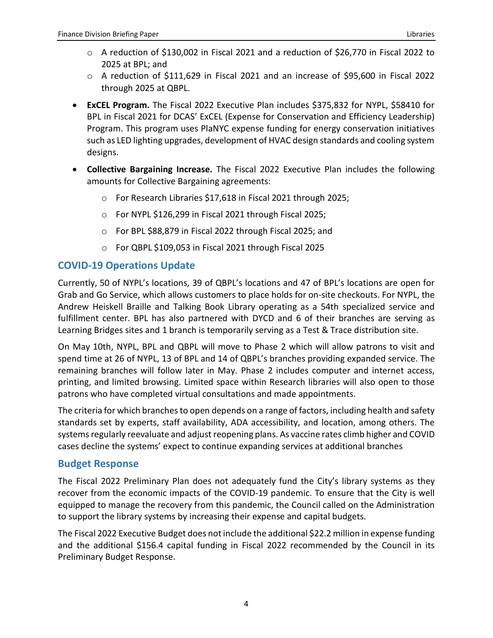- o A reduction of \$130,002 in Fiscal 2021 and a reduction of \$26,770 in Fiscal 2022 to 2025 at BPL; and
- $\circ$  A reduction of \$111,629 in Fiscal 2021 and an increase of \$95,600 in Fiscal 2022 through 2025 at QBPL.
- **ExCEL Program.** The Fiscal 2022 Executive Plan includes \$375,832 for NYPL, \$58410 for BPL in Fiscal 2021 for DCAS' ExCEL (Expense for Conservation and Efficiency Leadership) Program. This program uses PlaNYC expense funding for energy conservation initiatives such as LED lighting upgrades, development of HVAC design standards and cooling system designs.
- **Collective Bargaining Increase.** The Fiscal 2022 Executive Plan includes the following amounts for Collective Bargaining agreements:
	- o For Research Libraries \$17,618 in Fiscal 2021 through 2025;
	- o For NYPL \$126,299 in Fiscal 2021 through Fiscal 2025;
	- o For BPL \$88,879 in Fiscal 2022 through Fiscal 2025; and
	- o For QBPL \$109,053 in Fiscal 2021 through Fiscal 2025

## **COVID-19 Operations Update**

Currently, 50 of NYPL's locations, 39 of QBPL's locations and 47 of BPL's locations are open for Grab and Go Service, which allows customers to place holds for on-site checkouts. For NYPL, the Andrew Heiskell Braille and Talking Book Library operating as a 54th specialized service and fulfillment center. BPL has also partnered with DYCD and 6 of their branches are serving as Learning Bridges sites and 1 branch is temporarily serving as a Test & Trace distribution site.

On May 10th, NYPL, BPL and QBPL will move to Phase 2 which will allow patrons to visit and spend time at 26 of NYPL, 13 of BPL and 14 of QBPL's branches providing expanded service. The remaining branches will follow later in May. Phase 2 includes computer and internet access, printing, and limited browsing. Limited space within Research libraries will also open to those patrons who have completed virtual consultations and made appointments.

The criteria for which branches to open depends on a range of factors, including health and safety standards set by experts, staff availability, ADA accessibility, and location, among others. The systems regularly reevaluate and adjust reopening plans. As vaccine rates climb higher and COVID cases decline the systems' expect to continue expanding services at additional branches

### **Budget Response**

The Fiscal 2022 Preliminary Plan does not adequately fund the City's library systems as they recover from the economic impacts of the COVID-19 pandemic. To ensure that the City is well equipped to manage the recovery from this pandemic, the Council called on the Administration to support the library systems by increasing their expense and capital budgets.

The Fiscal 2022 Executive Budget does not include the additional \$22.2 million in expense funding and the additional \$156.4 capital funding in Fiscal 2022 recommended by the Council in its Preliminary Budget Response.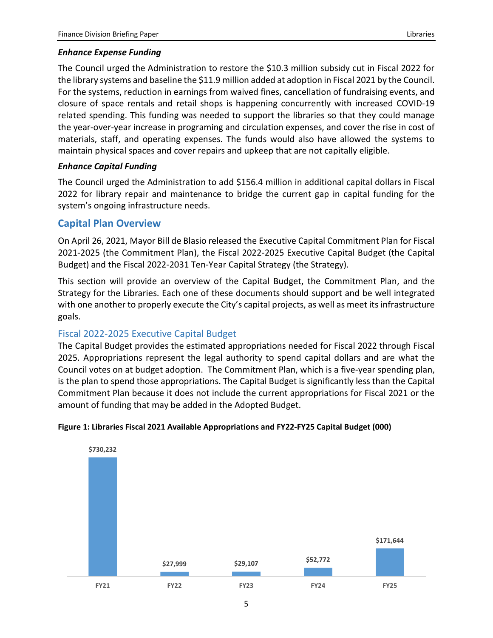#### *Enhance Expense Funding*

The Council urged the Administration to restore the \$10.3 million subsidy cut in Fiscal 2022 for the library systems and baseline the \$11.9 million added at adoption in Fiscal 2021 by the Council. For the systems, reduction in earnings from waived fines, cancellation of fundraising events, and closure of space rentals and retail shops is happening concurrently with increased COVID-19 related spending. This funding was needed to support the libraries so that they could manage the year-over-year increase in programing and circulation expenses, and cover the rise in cost of materials, staff, and operating expenses. The funds would also have allowed the systems to maintain physical spaces and cover repairs and upkeep that are not capitally eligible.

#### *Enhance Capital Funding*

The Council urged the Administration to add \$156.4 million in additional capital dollars in Fiscal 2022 for library repair and maintenance to bridge the current gap in capital funding for the system's ongoing infrastructure needs.

#### **Capital Plan Overview**

On April 26, 2021, Mayor Bill de Blasio released the Executive Capital Commitment Plan for Fiscal 2021-2025 (the Commitment Plan), the Fiscal 2022-2025 Executive Capital Budget (the Capital Budget) and the Fiscal 2022-2031 Ten-Year Capital Strategy (the Strategy).

This section will provide an overview of the Capital Budget, the Commitment Plan, and the Strategy for the Libraries. Each one of these documents should support and be well integrated with one another to properly execute the City's capital projects, as well as meet its infrastructure goals.

#### Fiscal 2022-2025 Executive Capital Budget

The Capital Budget provides the estimated appropriations needed for Fiscal 2022 through Fiscal 2025. Appropriations represent the legal authority to spend capital dollars and are what the Council votes on at budget adoption. The Commitment Plan, which is a five-year spending plan, is the plan to spend those appropriations. The Capital Budget is significantly less than the Capital Commitment Plan because it does not include the current appropriations for Fiscal 2021 or the amount of funding that may be added in the Adopted Budget.



#### **Figure 1: Libraries Fiscal 2021 Available Appropriations and FY22-FY25 Capital Budget (000)**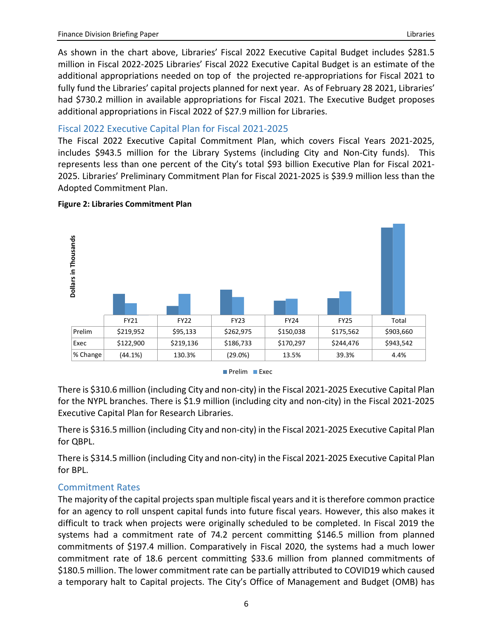As shown in the chart above, Libraries' Fiscal 2022 Executive Capital Budget includes \$281.5 million in Fiscal 2022-2025 Libraries' Fiscal 2022 Executive Capital Budget is an estimate of the additional appropriations needed on top of the projected re-appropriations for Fiscal 2021 to fully fund the Libraries' capital projects planned for next year. As of February 28 2021, Libraries' had \$730.2 million in available appropriations for Fiscal 2021. The Executive Budget proposes additional appropriations in Fiscal 2022 of \$27.9 million for Libraries.

#### Fiscal 2022 Executive Capital Plan for Fiscal 2021-2025

The Fiscal 2022 Executive Capital Commitment Plan, which covers Fiscal Years 2021-2025, includes \$943.5 million for the Library Systems (including City and Non-City funds). This represents less than one percent of the City's total \$93 billion Executive Plan for Fiscal 2021- 2025. Libraries' Preliminary Commitment Plan for Fiscal 2021-2025 is \$39.9 million less than the Adopted Commitment Plan.



#### **Figure 2: Libraries Commitment Plan**

There is \$310.6 million (including City and non-city) in the Fiscal 2021-2025 Executive Capital Plan for the NYPL branches. There is \$1.9 million (including city and non-city) in the Fiscal 2021-2025 Executive Capital Plan for Research Libraries.

There is \$316.5 million (including City and non-city) in the Fiscal 2021-2025 Executive Capital Plan for QBPL.

There is \$314.5 million (including City and non-city) in the Fiscal 2021-2025 Executive Capital Plan for BPL.

#### Commitment Rates

The majority of the capital projects span multiple fiscal years and it is therefore common practice for an agency to roll unspent capital funds into future fiscal years. However, this also makes it difficult to track when projects were originally scheduled to be completed. In Fiscal 2019 the systems had a commitment rate of 74.2 percent committing \$146.5 million from planned commitments of \$197.4 million. Comparatively in Fiscal 2020, the systems had a much lower commitment rate of 18.6 percent committing \$33.6 million from planned commitments of \$180.5 million. The lower commitment rate can be partially attributed to COVID19 which caused a temporary halt to Capital projects. The City's Office of Management and Budget (OMB) has

Prelim **Exec**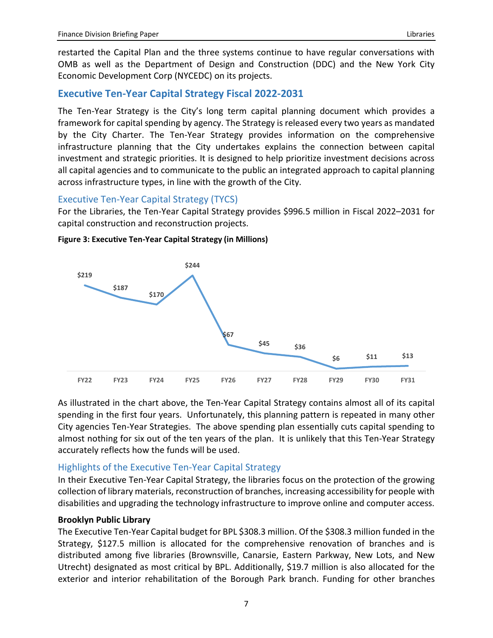restarted the Capital Plan and the three systems continue to have regular conversations with OMB as well as the Department of Design and Construction (DDC) and the New York City Economic Development Corp (NYCEDC) on its projects.

### **Executive Ten-Year Capital Strategy Fiscal 2022-2031**

The Ten-Year Strategy is the City's long term capital planning document which provides a framework for capital spending by agency. The Strategy is released every two years as mandated by the City Charter. The Ten-Year Strategy provides information on the comprehensive infrastructure planning that the City undertakes explains the connection between capital investment and strategic priorities. It is designed to help prioritize investment decisions across all capital agencies and to communicate to the public an integrated approach to capital planning across infrastructure types, in line with the growth of the City.

#### Executive Ten-Year Capital Strategy (TYCS)

For the Libraries, the Ten-Year Capital Strategy provides \$996.5 million in Fiscal 2022–2031 for capital construction and reconstruction projects.



**Figure 3: Executive Ten-Year Capital Strategy (in Millions)**

As illustrated in the chart above, the Ten-Year Capital Strategy contains almost all of its capital spending in the first four years. Unfortunately, this planning pattern is repeated in many other City agencies Ten-Year Strategies. The above spending plan essentially cuts capital spending to almost nothing for six out of the ten years of the plan. It is unlikely that this Ten-Year Strategy accurately reflects how the funds will be used.

#### Highlights of the Executive Ten-Year Capital Strategy

In their Executive Ten-Year Capital Strategy, the libraries focus on the protection of the growing collection of library materials, reconstruction of branches, increasing accessibility for people with disabilities and upgrading the technology infrastructure to improve online and computer access.

#### **Brooklyn Public Library**

The Executive Ten-Year Capital budget for BPL \$308.3 million. Of the \$308.3 million funded in the Strategy, \$127.5 million is allocated for the comprehensive renovation of branches and is distributed among five libraries (Brownsville, Canarsie, Eastern Parkway, New Lots, and New Utrecht) designated as most critical by BPL. Additionally, \$19.7 million is also allocated for the exterior and interior rehabilitation of the Borough Park branch. Funding for other branches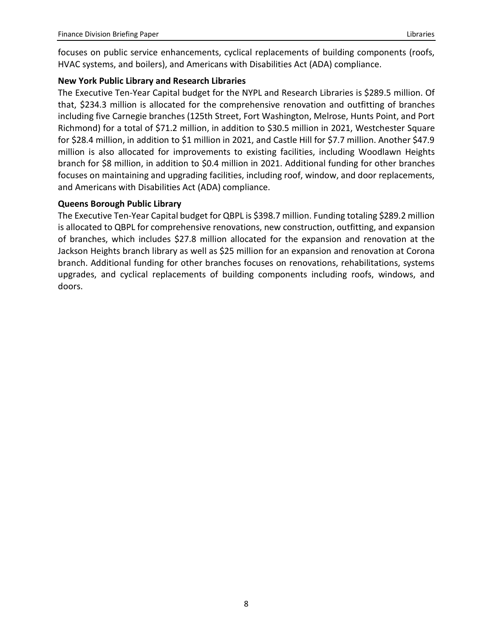focuses on public service enhancements, cyclical replacements of building components (roofs, HVAC systems, and boilers), and Americans with Disabilities Act (ADA) compliance.

#### **New York Public Library and Research Libraries**

The Executive Ten-Year Capital budget for the NYPL and Research Libraries is \$289.5 million. Of that, \$234.3 million is allocated for the comprehensive renovation and outfitting of branches including five Carnegie branches (125th Street, Fort Washington, Melrose, Hunts Point, and Port Richmond) for a total of \$71.2 million, in addition to \$30.5 million in 2021, Westchester Square for \$28.4 million, in addition to \$1 million in 2021, and Castle Hill for \$7.7 million. Another \$47.9 million is also allocated for improvements to existing facilities, including Woodlawn Heights branch for \$8 million, in addition to \$0.4 million in 2021. Additional funding for other branches focuses on maintaining and upgrading facilities, including roof, window, and door replacements, and Americans with Disabilities Act (ADA) compliance.

#### **Queens Borough Public Library**

The Executive Ten-Year Capital budget for QBPL is \$398.7 million. Funding totaling \$289.2 million is allocated to QBPL for comprehensive renovations, new construction, outfitting, and expansion of branches, which includes \$27.8 million allocated for the expansion and renovation at the Jackson Heights branch library as well as \$25 million for an expansion and renovation at Corona branch. Additional funding for other branches focuses on renovations, rehabilitations, systems upgrades, and cyclical replacements of building components including roofs, windows, and doors.